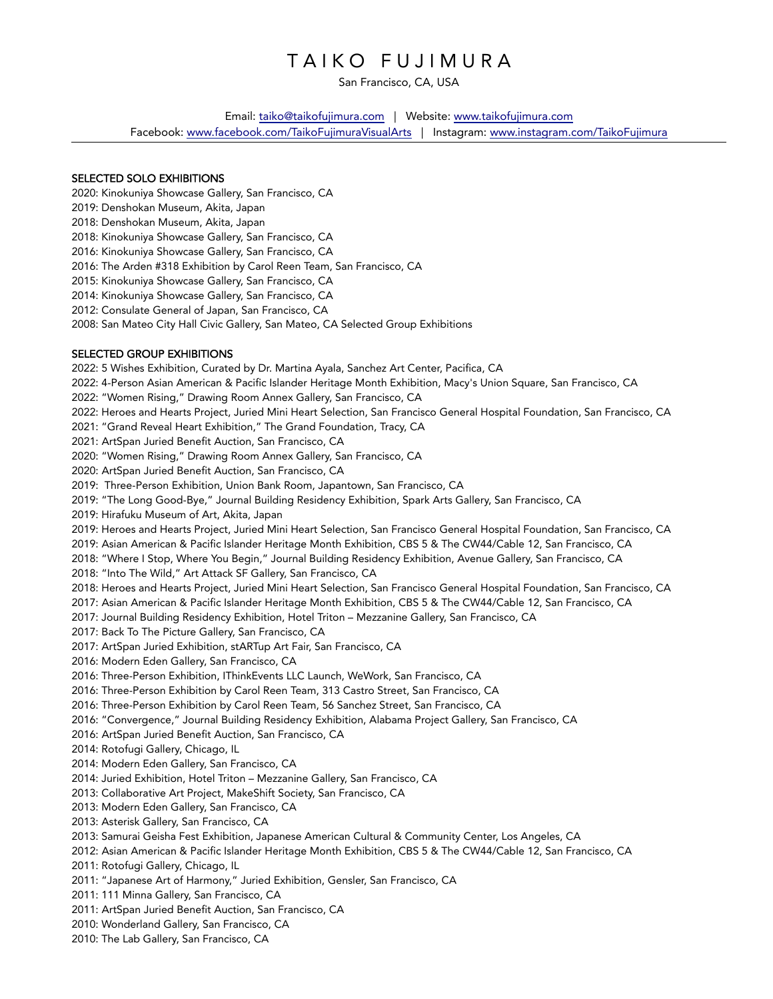# TAIKO FUJIMURA

San Francisco, CA, USA

Email: taiko@taikofujimura.com | Website: www.taikofujimura.com

Facebook: www.facebook.com/TaikoFujimuraVisualArts | Instagram: www.instagram.com/TaikoFujimura

#### SELECTED SOLO EXHIBITIONS

2020: Kinokuniya Showcase Gallery, San Francisco, CA

- 2019: Denshokan Museum, Akita, Japan
- 2018: Denshokan Museum, Akita, Japan
- 2018: Kinokuniya Showcase Gallery, San Francisco, CA
- 2016: Kinokuniya Showcase Gallery, San Francisco, CA
- 2016: The Arden #318 Exhibition by Carol Reen Team, San Francisco, CA
- 2015: Kinokuniya Showcase Gallery, San Francisco, CA
- 2014: Kinokuniya Showcase Gallery, San Francisco, CA
- 2012: Consulate General of Japan, San Francisco, CA
- 2008: San Mateo City Hall Civic Gallery, San Mateo, CA Selected Group Exhibitions

## SELECTED GROUP EXHIBITIONS

2022: 5 Wishes Exhibition, Curated by Dr. Martina Ayala, Sanchez Art Center, Pacifica, CA 2022: 4-Person Asian American & Pacific Islander Heritage Month Exhibition, Macy's Union Square, San Francisco, CA 2022: "Women Rising," Drawing Room Annex Gallery, San Francisco, CA 2022: Heroes and Hearts Project, Juried Mini Heart Selection, San Francisco General Hospital Foundation, San Francisco, CA 2021: "Grand Reveal Heart Exhibition," The Grand Foundation, Tracy, CA 2021: ArtSpan Juried Benefit Auction, San Francisco, CA 2020: "Women Rising," Drawing Room Annex Gallery, San Francisco, CA 2020: ArtSpan Juried Benefit Auction, San Francisco, CA 2019: Three-Person Exhibition, Union Bank Room, Japantown, San Francisco, CA 2019: "The Long Good-Bye," Journal Building Residency Exhibition, Spark Arts Gallery, San Francisco, CA 2019: Hirafuku Museum of Art, Akita, Japan 2019: Heroes and Hearts Project, Juried Mini Heart Selection, San Francisco General Hospital Foundation, San Francisco, CA 2019: Asian American & Pacific Islander Heritage Month Exhibition, CBS 5 & The CW44/Cable 12, San Francisco, CA 2018: "Where I Stop, Where You Begin," Journal Building Residency Exhibition, Avenue Gallery, San Francisco, CA 2018: "Into The Wild," Art Attack SF Gallery, San Francisco, CA 2018: Heroes and Hearts Project, Juried Mini Heart Selection, San Francisco General Hospital Foundation, San Francisco, CA 2017: Asian American & Pacific Islander Heritage Month Exhibition, CBS 5 & The CW44/Cable 12, San Francisco, CA 2017: Journal Building Residency Exhibition, Hotel Triton – Mezzanine Gallery, San Francisco, CA 2017: Back To The Picture Gallery, San Francisco, CA 2017: ArtSpan Juried Exhibition, stARTup Art Fair, San Francisco, CA 2016: Modern Eden Gallery, San Francisco, CA 2016: Three-Person Exhibition, IThinkEvents LLC Launch, WeWork, San Francisco, CA 2016: Three-Person Exhibition by Carol Reen Team, 313 Castro Street, San Francisco, CA 2016: Three-Person Exhibition by Carol Reen Team, 56 Sanchez Street, San Francisco, CA 2016: "Convergence," Journal Building Residency Exhibition, Alabama Project Gallery, San Francisco, CA 2016: ArtSpan Juried Benefit Auction, San Francisco, CA 2014: Rotofugi Gallery, Chicago, IL 2014: Modern Eden Gallery, San Francisco, CA 2014: Juried Exhibition, Hotel Triton – Mezzanine Gallery, San Francisco, CA 2013: Collaborative Art Project, MakeShift Society, San Francisco, CA 2013: Modern Eden Gallery, San Francisco, CA 2013: Asterisk Gallery, San Francisco, CA 2013: Samurai Geisha Fest Exhibition, Japanese American Cultural & Community Center, Los Angeles, CA 2012: Asian American & Pacific Islander Heritage Month Exhibition, CBS 5 & The CW44/Cable 12, San Francisco, CA 2011: Rotofugi Gallery, Chicago, IL 2011: "Japanese Art of Harmony," Juried Exhibition, Gensler, San Francisco, CA 2011: 111 Minna Gallery, San Francisco, CA 2011: ArtSpan Juried Benefit Auction, San Francisco, CA 2010: Wonderland Gallery, San Francisco, CA

2010: The Lab Gallery, San Francisco, CA